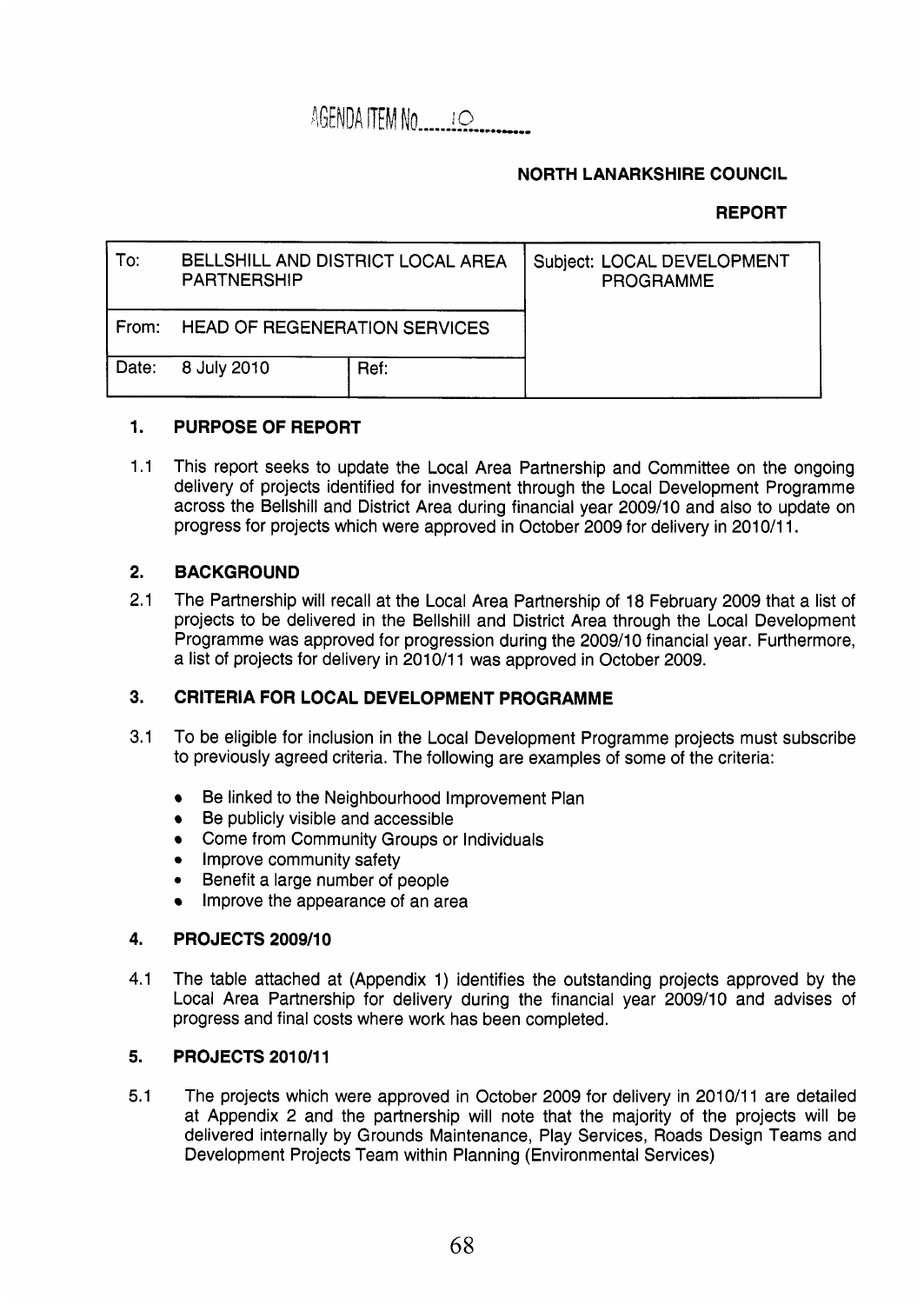AGENDA ITEM NO. 10

### **NORTH LANARKSHIRE COUNCIL**

### **REPORT**

| To:   | BELLSHILL AND DISTRICT LOCAL AREA<br><b>PARTNERSHIP</b> |      | Subject: LOCAL DEVELOPMENT<br><b>PROGRAMME</b> |
|-------|---------------------------------------------------------|------|------------------------------------------------|
| From: | <b>HEAD OF REGENERATION SERVICES</b>                    |      |                                                |
| Date: | 8 July 2010                                             | Ref: |                                                |

#### **1. PURPOSE OF REPORT**

1.1 This report seeks to update the Local Area Partnership and Committee on the ongoing delivery of projects identified for investment through the Local Development Programme across the Bellshill and District Area during financial year 2009/10 and also to update on progress for projects which were approved in October 2009 for delivery in 2010/11.

#### **2. BACKGROUND**

2.1 The Partnership will recall at the Local Area Partnership of 18 February 2009 that a list of projects to be delivered in the Bellshill and District Area through the Local Development Programme was approved for progression during the 2009/10 financial year. Furthermore, a list of projects for delivery in 2010/11 was approved in October 2009.

#### **3. CRITERIA FOR LOCAL DEVELOPMENT PROGRAMME**

- 3.1 To be eligible for inclusion in the Local Development Programme projects must subscribe to previously agreed criteria. The following are examples of some of the criteria:
	- Be linked to the Neighbourhood Improvement Plan
	- Be publicly visible and accessible
	- Come from Community Groups or Individuals
	- Improve community safety
	- Benefit a large number of people
	- Improve the appearance of an area

#### **4. PROJECTS 2009/10**

4.1 The table attached at (Appendix 1) identifies the outstanding projects approved by the Local Area Partnership for delivery during the financial year 2009/10 and advises of progress and final costs where work has been completed.

#### **5. PROJECTS 2010/11**

5.1 The projects which were approved in October 2009 for delivery in 2010/11 are detailed at Appendix 2 and the partnership will note that the majority of the projects will be delivered internally by Grounds Maintenance, Play Services, Roads Design Teams and Development Projects Team within Planning (Environmental Services)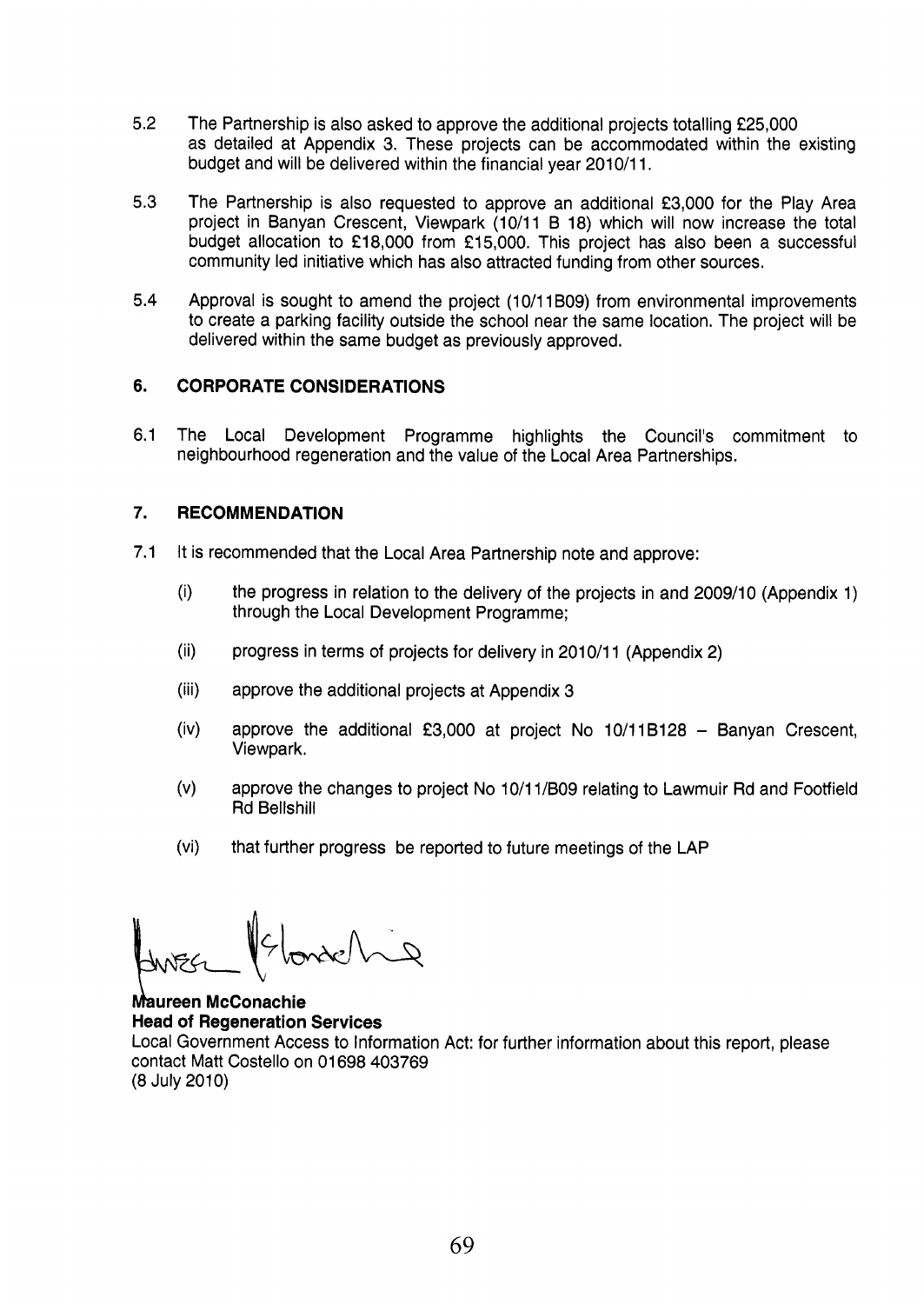- 5.2 The Partnership is also asked to approve the additional projects totalling f25,000 as detailed at Appendix 3. These projects can be accommodated within the existing budget and will be delivered within the financial year 2010/11.
- 5.3 The Partnership is also requested to approve an additional €3,000 for the Play Area project in Banyan Crescent, Viewpark (10/11 B 18) which will now increase the total budget allocation to £18,000 from £15,000. This project has also been a successful community led initiative which has also attracted funding from other sources.
- 5.4 Approval is sought to amend the project (10/11B09) from environmental improvements to create a parking facility outside the school near the same location. The project will be delivered within the same budget as previously approved.

#### **6. CORPORATE CONSIDERATIONS**

6.1 The Local Development Programme highlights the Council's commitment to neighbourhood regeneration and the value of the Local Area Partnerships.

#### *7.*  **RECOMMENDATION**

- 7.1 It is recommended that the Local Area Partnership note and approve:
	- $(i)$ the progress in relation to the delivery of the projects in and 2009/10 (Appendix 1) through the Local Development Programme;
	- $(ii)$ progress in terms of projects for delivery in 2010/11 (Appendix 2)
	- $(iii)$ approve the additional projects at Appendix 3
	- approve the additional €3,000 at project **<sup>F</sup> <sup>3</sup>**10/118128 Banyan Crescent,  $(iv)$ Viewpark.
	- $(v)$ approve the changes to project No 10/11/B09 relating to Lawmuir Rd and Footfield Rd Bellshill
	- $(vi)$ that further progress be reported to future meetings of the LAP

**Maureen McConachie Head of Regeneration Services** 

Local Government Access to Information Act: for further information about this report, please contact Matt Costello on 01 698 403769 (8 July 2010)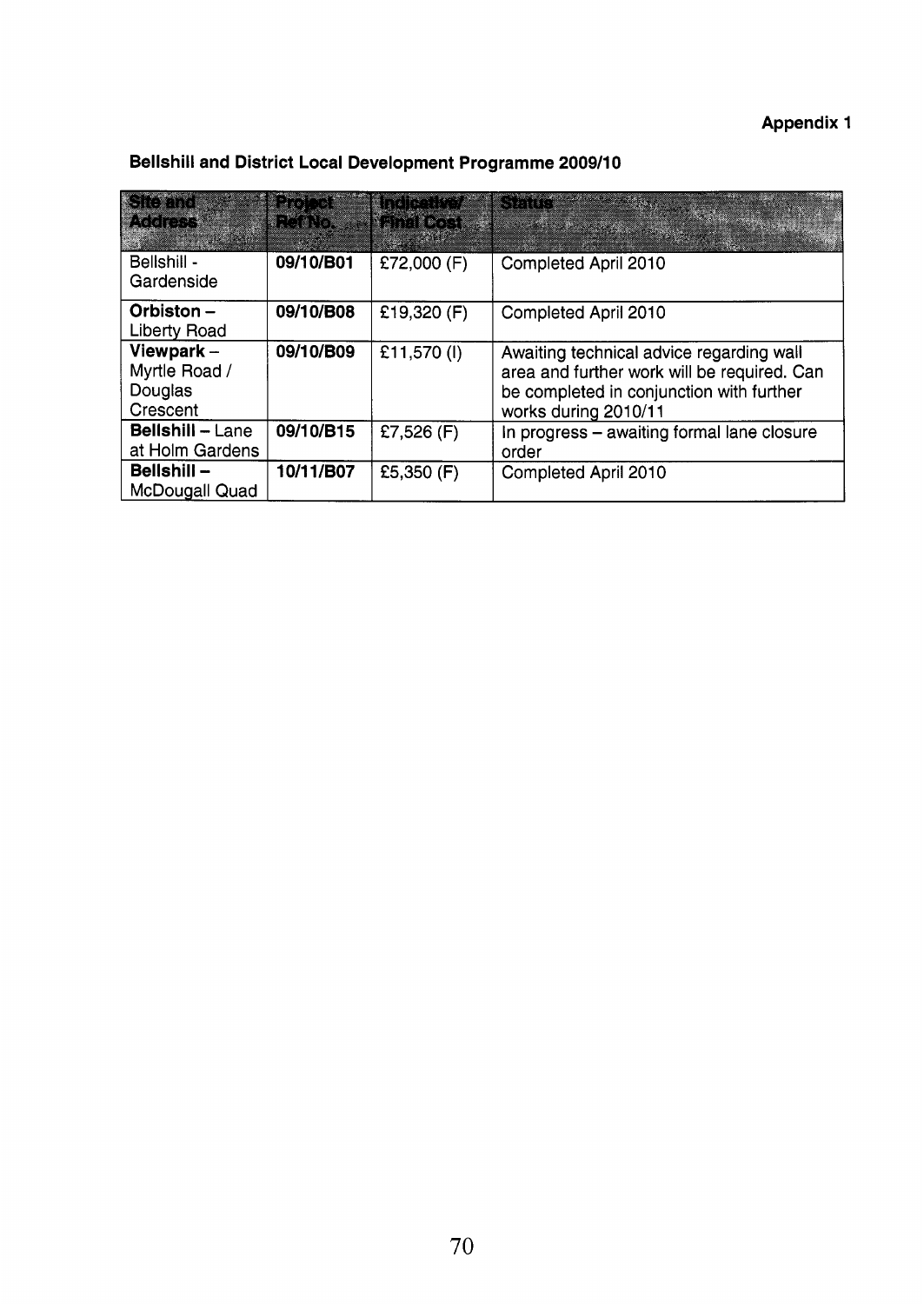## **Appendix 1**

| <b>Siemd</b><br><b>IMARES</b>                        | ativo de la<br><b>RefNo. Prinal Cost</b> | <b>ANDREWS</b> | <b>E</b> SALE                                                                                                                                               |
|------------------------------------------------------|------------------------------------------|----------------|-------------------------------------------------------------------------------------------------------------------------------------------------------------|
| Bellshill -<br>Gardenside                            | 09/10/B01                                | £72,000 (F)    | Completed April 2010                                                                                                                                        |
| Orbiston-<br><b>Liberty Road</b>                     | 09/10/B08                                | £19,320 (F)    | Completed April 2010                                                                                                                                        |
| Viewpark $-$<br>Myrtle Road /<br>Douglas<br>Crescent | 09/10/B09                                | £11,570 (I)    | Awaiting technical advice regarding wall<br>area and further work will be required. Can<br>be completed in conjunction with further<br>works during 2010/11 |
| <b>Bellshill - Lane</b><br>at Holm Gardens           | 09/10/B15                                | £7,526 $(F)$   | In progress - awaiting formal lane closure<br>order                                                                                                         |
| Bellshill-<br><b>McDougall Quad</b>                  | 10/11/B07                                | £5,350 (F)     | Completed April 2010                                                                                                                                        |

### **Bellshill and District Local Development Programme 2009/10**